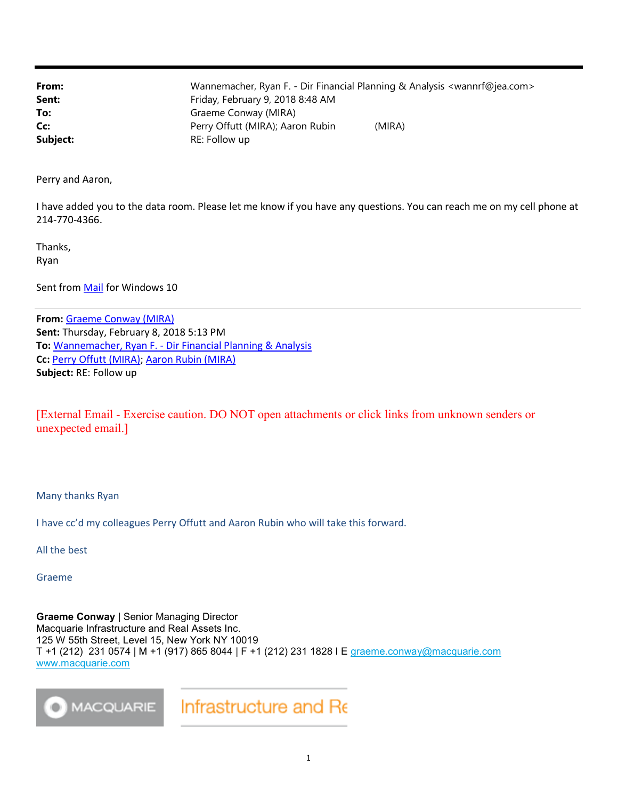| From:    | Wannemacher, Ryan F. - Dir Financial Planning & Analysis <wannrf@jea.com></wannrf@jea.com> |
|----------|--------------------------------------------------------------------------------------------|
| Sent:    | Friday, February 9, 2018 8:48 AM                                                           |
| To:      | Graeme Conway (MIRA)                                                                       |
| Cc:      | Perry Offutt (MIRA); Aaron Rubin<br>(MIRA)                                                 |
| Subject: | RE: Follow up                                                                              |

Perry and Aaron,

I have added you to the data room. Please let me know if you have any questions. You can reach me on my cell phone at 214-770-4366.

Thanks, Ryan

Sent from Mail for Windows 10

From: Graeme Conway (MIRA) Sent: Thursday, February 8, 2018 5:13 PM To: Wannemacher, Ryan F. - Dir Financial Planning & Analysis Cc: Perry Offutt (MIRA); Aaron Rubin (MIRA) Subject: RE: Follow up

[External Email - Exercise caution. DO NOT open attachments or click links from unknown senders or unexpected email.]

Many thanks Ryan

I have cc'd my colleagues Perry Offutt and Aaron Rubin who will take this forward.

All the best

Graeme

Graeme Conway | Senior Managing Director Macquarie Infrastructure and Real Assets Inc. 125 W 55th Street, Level 15, New York NY 10019 T +1 (212) 231 0574 | M +1 (917) 865 8044 | F +1 (212) 231 1828 I E graeme.conway@macquarie.com www.macquarie.com



Infrastructure and Re